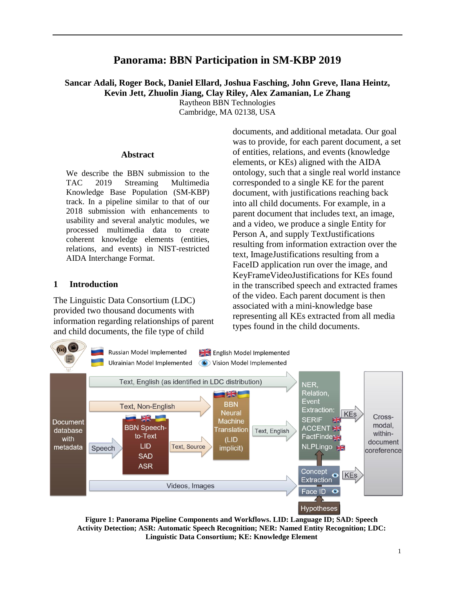# **Panorama: BBN Participation in SM-KBP 2019**

### **Sancar Adali, Roger Bock, Daniel Ellard, Joshua Fasching, John Greve, Ilana Heintz, Kevin Jett, Zhuolin Jiang, Clay Riley, Alex Zamanian, Le Zhang** Raytheon BBN Technologies

Cambridge, MA 02138, USA

#### **Abstract**

We describe the BBN submission to the TAC 2019 Streaming Multimedia Knowledge Base Population (SM-KBP) track. In a pipeline similar to that of our 2018 submission with enhancements to usability and several analytic modules, we processed multimedia data to create coherent knowledge elements (entities, relations, and events) in NIST-restricted AIDA Interchange Format.

### **1 Introduction**

The Linguistic Data Consortium (LDC) provided two thousand documents with information regarding relationships of parent and child documents, the file type of child

documents, and additional metadata. Our goal was to provide, for each parent document, a set of entities, relations, and events (knowledge elements, or KEs) aligned with the AIDA ontology, such that a single real world instance corresponded to a single KE for the parent document, with justifications reaching back into all child documents. For example, in a parent document that includes text, an image, and a video, we produce a single Entity for Person A, and supply TextJustifications resulting from information extraction over the text, ImageJustifications resulting from a FaceID application run over the image, and KeyFrameVideoJustifications for KEs found in the transcribed speech and extracted frames of the video. Each parent document is then associated with a mini-knowledge base representing all KEs extracted from all media types found in the child documents.



<span id="page-0-0"></span>**Figure 1: Panorama Pipeline Components and Workflows. LID: Language ID; SAD: Speech Activity Detection; ASR: Automatic Speech Recognition; NER: Named Entity Recognition; LDC: Linguistic Data Consortium; KE: Knowledge Element**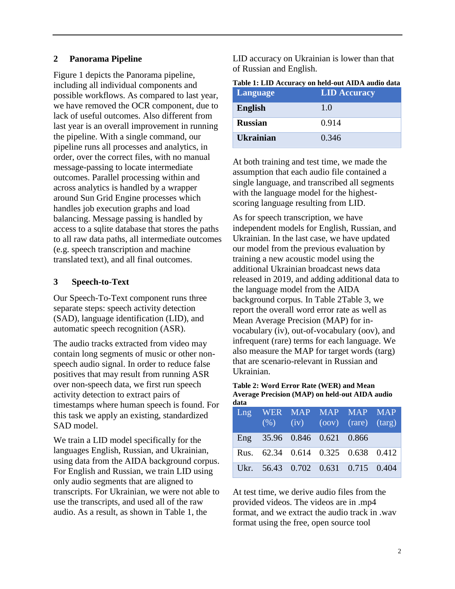### **2 Panorama Pipeline**

[Figure 1](#page-0-0) depicts the Panorama pipeline, including all individual components and possible workflows. As compared to last year, we have removed the OCR component, due to lack of useful outcomes. Also different from last year is an overall improvement in running the pipeline. With a single command, our pipeline runs all processes and analytics, in order, over the correct files, with no manual message-passing to locate intermediate outcomes. Parallel processing within and across analytics is handled by a wrapper around Sun Grid Engine processes which handles job execution graphs and load balancing. Message passing is handled by access to a sqlite database that stores the paths to all raw data paths, all intermediate outcomes (e.g. speech transcription and machine translated text), and all final outcomes.

## **3 Speech-to-Text**

Our Speech-To-Text component runs three separate steps: speech activity detection (SAD), language identification (LID), and automatic speech recognition (ASR).

The audio tracks extracted from video may contain long segments of music or other nonspeech audio signal. In order to reduce false positives that may result from running ASR over non-speech data, we first run speech activity detection to extract pairs of timestamps where human speech is found. For this task we apply an existing, standardized SAD model.

We train a LID model specifically for the languages English, Russian, and Ukrainian, using data from the AIDA background corpus. For English and Russian, we train LID using only audio segments that are aligned to transcripts. For Ukrainian, we were not able to use the transcripts, and used all of the raw audio. As a result, as shown in [Table 1,](#page-1-0) the

LID accuracy on Ukrainian is lower than that of Russian and English.

<span id="page-1-0"></span>

|--|

| <b>Language</b>  | <b>LID Accuracy</b> |
|------------------|---------------------|
| <b>English</b>   | 1.0                 |
| <b>Russian</b>   | 0.914               |
| <b>Ukrainian</b> | 0.346               |

At both training and test time, we made the assumption that each audio file contained a single language, and transcribed all segments with the language model for the highestscoring language resulting from LID.

As for speech transcription, we have independent models for English, Russian, and Ukrainian. In the last case, we have updated our model from the previous evaluation by training a new acoustic model using the additional Ukrainian broadcast news data released in 2019, and adding additional data to the language model from the AIDA background corpus. In [Table 2](#page-1-1)[Table 3,](#page-2-0) we report the overall word error rate as well as Mean Average Precision (MAP) for invocabulary (iv), out-of-vocabulary (oov), and infrequent (rare) terms for each language. We also measure the MAP for target words (targ) that are scenario-relevant in Russian and Ukrainian.

#### <span id="page-1-1"></span>**Table 2: Word Error Rate (WER) and Mean Average Precision (MAP) on held-out AIDA audio data**

|                             |  | Lng WER MAP MAP MAP MAP<br>$(\%)$ $(i\overline{v})$ $(oov)$ $(rare)$ $(targ)$ |                                    |
|-----------------------------|--|-------------------------------------------------------------------------------|------------------------------------|
| Eng 35.96 0.846 0.621 0.866 |  |                                                                               |                                    |
|                             |  |                                                                               | Rus. 62.34 0.614 0.325 0.638 0.412 |
|                             |  | Ukr. 56.43 0.702 0.631 0.715 0.404                                            |                                    |

At test time, we derive audio files from the provided videos. The videos are in .mp4 format, and we extract the audio track in .wav format using the free, open source tool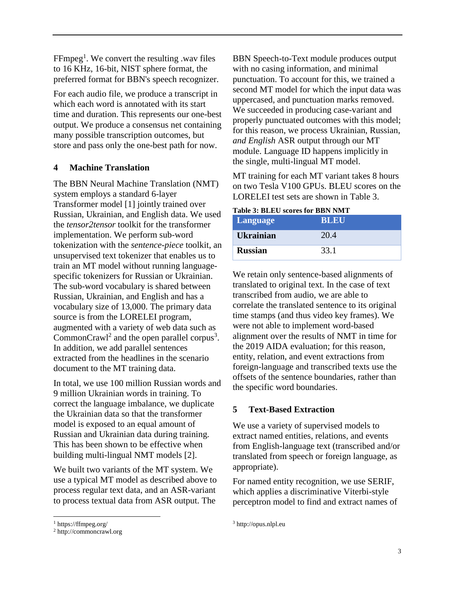$FFmpeg<sup>1</sup>$ . We convert the resulting .wav files to 16 KHz, 16-bit, NIST sphere format, the preferred format for BBN's speech recognizer.

For each audio file, we produce a transcript in which each word is annotated with its start time and duration. This represents our one-best output. We produce a consensus net containing many possible transcription outcomes, but store and pass only the one-best path for now.

## **4 Machine Translation**

The BBN Neural Machine Translation (NMT) system employs a standard 6-layer Transformer model [1] jointly trained over Russian, Ukrainian, and English data. We used the *tensor2tensor* toolkit for the transformer implementation. We perform sub-word tokenization with the *sentence*-*piece* toolkit, an unsupervised text tokenizer that enables us to train an MT model without running languagespecific tokenizers for Russian or Ukrainian. The sub-word vocabulary is shared between Russian, Ukrainian, and English and has a vocabulary size of 13,000. The primary data source is from the LORELEI program, augmented with a variety of web data such as CommonCrawl<sup>2</sup> and the open parallel corpus<sup>3</sup>. In addition, we add parallel sentences extracted from the headlines in the scenario document to the MT training data.

In total, we use 100 million Russian words and 9 million Ukrainian words in training. To correct the language imbalance, we duplicate the Ukrainian data so that the transformer model is exposed to an equal amount of Russian and Ukrainian data during training. This has been shown to be effective when building multi-lingual NMT models [2].

We built two variants of the MT system. We use a typical MT model as described above to process regular text data, and an ASR-variant to process textual data from ASR output. The

BBN Speech-to-Text module produces output with no casing information, and minimal punctuation. To account for this, we trained a second MT model for which the input data was uppercased, and punctuation marks removed. We succeeded in producing case-variant and properly punctuated outcomes with this model; for this reason, we process Ukrainian, Russian, *and English* ASR output through our MT module. Language ID happens implicitly in the single, multi-lingual MT model.

MT training for each MT variant takes 8 hours on two Tesla V100 GPUs. BLEU scores on the LORELEI test sets are shown in [Table 3.](#page-2-0)

<span id="page-2-0"></span>

|  | <b>Table 3: BLEU scores for BBN NMT</b> |  |  |
|--|-----------------------------------------|--|--|
|  |                                         |  |  |

| Language         | <b>BLEU</b> |
|------------------|-------------|
| <b>Ukrainian</b> | 20.4        |
| <b>Russian</b>   | 33.1        |

We retain only sentence-based alignments of translated to original text. In the case of text transcribed from audio, we are able to correlate the translated sentence to its original time stamps (and thus video key frames). We were not able to implement word-based alignment over the results of NMT in time for the 2019 AIDA evaluation; for this reason, entity, relation, and event extractions from foreign-language and transcribed texts use the offsets of the sentence boundaries, rather than the specific word boundaries.

## **5 Text-Based Extraction**

We use a variety of supervised models to extract named entities, relations, and events from English-language text (transcribed and/or translated from speech or foreign language, as appropriate).

For named entity recognition, we use SERIF, which applies a discriminative Viterbi-style perceptron model to find and extract names of

 $\overline{a}$ 

<sup>3</sup> http://opus.nlpl.eu

<sup>1</sup> https://ffmpeg.org/

<sup>2</sup> http://commoncrawl.org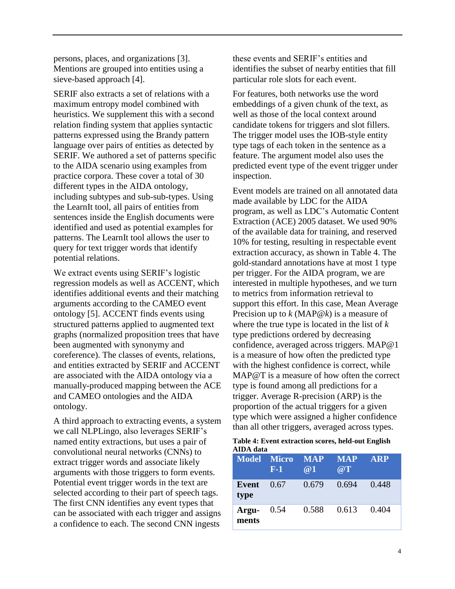persons, places, and organizations [3]. Mentions are grouped into entities using a sieve-based approach [4].

SERIF also extracts a set of relations with a maximum entropy model combined with heuristics. We supplement this with a second relation finding system that applies syntactic patterns expressed using the Brandy pattern language over pairs of entities as detected by SERIF. We authored a set of patterns specific to the AIDA scenario using examples from practice corpora. These cover a total of 30 different types in the AIDA ontology, including subtypes and sub-sub-types. Using the LearnIt tool, all pairs of entities from sentences inside the English documents were identified and used as potential examples for patterns. The LearnIt tool allows the user to query for text trigger words that identify potential relations.

We extract events using SERIF's logistic regression models as well as ACCENT, which identifies additional events and their matching arguments according to the CAMEO event ontology [5]. ACCENT finds events using structured patterns applied to augmented text graphs (normalized proposition trees that have been augmented with synonymy and coreference). The classes of events, relations, and entities extracted by SERIF and ACCENT are associated with the AIDA ontology via a manually-produced mapping between the ACE and CAMEO ontologies and the AIDA ontology.

A third approach to extracting events, a system we call NLPLingo, also leverages SERIF's named entity extractions, but uses a pair of convolutional neural networks (CNNs) to extract trigger words and associate likely arguments with those triggers to form events. Potential event trigger words in the text are selected according to their part of speech tags. The first CNN identifies any event types that can be associated with each trigger and assigns a confidence to each. The second CNN ingests

these events and SERIF's entities and identifies the subset of nearby entities that fill particular role slots for each event.

For features, both networks use the word embeddings of a given chunk of the text, as well as those of the local context around candidate tokens for triggers and slot fillers. The trigger model uses the IOB-style entity type tags of each token in the sentence as a feature. The argument model also uses the predicted event type of the event trigger under inspection.

Event models are trained on all annotated data made available by LDC for the AIDA program, as well as LDC's Automatic Content Extraction (ACE) 2005 dataset. We used 90% of the available data for training, and reserved 10% for testing, resulting in respectable event extraction accuracy, as shown in [Table 4.](#page-3-0) The gold-standard annotations have at most 1 type per trigger. For the AIDA program, we are interested in multiple hypotheses, and we turn to metrics from information retrieval to support this effort. In this case, Mean Average Precision up to *k* (MAP@*k*) is a measure of where the true type is located in the list of *k* type predictions ordered by decreasing confidence, averaged across triggers. MAP@1 is a measure of how often the predicted type with the highest confidence is correct, while MAP@T is a measure of how often the correct type is found among all predictions for a trigger. Average R-precision (ARP) is the proportion of the actual triggers for a given type which were assigned a higher confidence than all other triggers, averaged across types.

<span id="page-3-0"></span>

|           | Table 4: Event extraction scores, held-out English |  |  |
|-----------|----------------------------------------------------|--|--|
| AIDA data |                                                    |  |  |

| <b>Model Micro</b>    | <b>F-1</b> | $-MAP$<br>$\omega$ 1 | <b>MAP</b><br>$\overline{a}$ T | <b>ARP</b> |
|-----------------------|------------|----------------------|--------------------------------|------------|
| Event<br>type         | 0.67       | 0.679                | 0.694                          | 0.448      |
| Argu- $0.54$<br>ments |            | 0.588                | 0.613                          | 0.404      |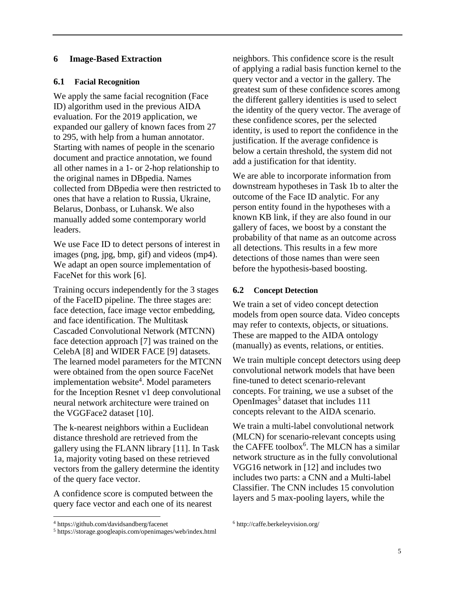### **6 Image-Based Extraction**

### **6.1 Facial Recognition**

We apply the same facial recognition (Face ID) algorithm used in the previous AIDA evaluation. For the 2019 application, we expanded our gallery of known faces from 27 to 295, with help from a human annotator. Starting with names of people in the scenario document and practice annotation, we found all other names in a 1- or 2-hop relationship to the original names in DBpedia. Names collected from DBpedia were then restricted to ones that have a relation to Russia, Ukraine, Belarus, Donbass, or Luhansk. We also manually added some contemporary world leaders.

We use Face ID to detect persons of interest in images (png, jpg, bmp, gif) and videos (mp4). We adapt an open source implementation of FaceNet for this work [6].

Training occurs independently for the 3 stages of the FaceID pipeline. The three stages are: face detection, face image vector embedding, and face identification. The Multitask Cascaded Convolutional Network (MTCNN) face detection approach [7] was trained on the CelebA [8] and WIDER FACE [9] datasets. The learned model parameters for the MTCNN were obtained from the open source FaceNet implementation website<sup>4</sup>. Model parameters for the Inception Resnet v1 deep convolutional neural network architecture were trained on the VGGFace2 dataset [10].

The k-nearest neighbors within a Euclidean distance threshold are retrieved from the gallery using the FLANN library [11]. In Task 1a, majority voting based on these retrieved vectors from the gallery determine the identity of the query face vector.

A confidence score is computed between the query face vector and each one of its nearest

 $\overline{a}$ 

neighbors. This confidence score is the result of applying a radial basis function kernel to the query vector and a vector in the gallery. The greatest sum of these confidence scores among the different gallery identities is used to select the identity of the query vector. The average of these confidence scores, per the selected identity, is used to report the confidence in the justification. If the average confidence is below a certain threshold, the system did not add a justification for that identity.

We are able to incorporate information from downstream hypotheses in Task 1b to alter the outcome of the Face ID analytic. For any person entity found in the hypotheses with a known KB link, if they are also found in our gallery of faces, we boost by a constant the probability of that name as an outcome across all detections. This results in a few more detections of those names than were seen before the hypothesis-based boosting.

### **6.2 Concept Detection**

We train a set of video concept detection models from open source data. Video concepts may refer to contexts, objects, or situations. These are mapped to the AIDA ontology (manually) as events, relations, or entities.

We train multiple concept detectors using deep convolutional network models that have been fine-tuned to detect scenario-relevant concepts. For training, we use a subset of the OpenImages<sup>5</sup> dataset that includes 111 concepts relevant to the AIDA scenario.

We train a multi-label convolutional network (MLCN) for scenario-relevant concepts using the CAFFE toolbox<sup>6</sup>. The MLCN has a similar network structure as in the fully convolutional VGG16 network in [12] and includes two includes two parts: a CNN and a Multi-label Classifier. The CNN includes 15 convolution layers and 5 max-pooling layers, while the

<sup>4</sup> https://github.com/davidsandberg/facenet

<sup>5</sup> https://storage.googleapis.com/openimages/web/index.html

<sup>6</sup> http://caffe.berkeleyvision.org/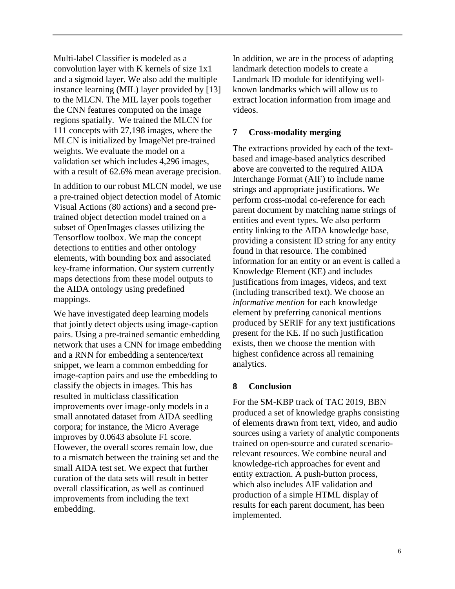Multi-label Classifier is modeled as a convolution layer with K kernels of size 1x1 and a sigmoid layer. We also add the multiple instance learning (MIL) layer provided by [13] to the MLCN. The MIL layer pools together the CNN features computed on the image regions spatially. We trained the MLCN for 111 concepts with 27,198 images, where the MLCN is initialized by ImageNet pre-trained weights. We evaluate the model on a validation set which includes 4,296 images, with a result of 62.6% mean average precision.

In addition to our robust MLCN model, we use a pre-trained object detection model of Atomic Visual Actions (80 actions) and a second pretrained object detection model trained on a subset of OpenImages classes utilizing the Tensorflow toolbox. We map the concept detections to entities and other ontology elements, with bounding box and associated key-frame information. Our system currently maps detections from these model outputs to the AIDA ontology using predefined mappings.

We have investigated deep learning models that jointly detect objects using image-caption pairs. Using a pre-trained semantic embedding network that uses a CNN for image embedding and a RNN for embedding a sentence/text snippet, we learn a common embedding for image-caption pairs and use the embedding to classify the objects in images. This has resulted in multiclass classification improvements over image-only models in a small annotated dataset from AIDA seedling corpora; for instance, the Micro Average improves by 0.0643 absolute F1 score. However, the overall scores remain low, due to a mismatch between the training set and the small AIDA test set. We expect that further curation of the data sets will result in better overall classification, as well as continued improvements from including the text embedding.

In addition, we are in the process of adapting landmark detection models to create a Landmark ID module for identifying wellknown landmarks which will allow us to extract location information from image and videos.

## **7 Cross-modality merging**

The extractions provided by each of the textbased and image-based analytics described above are converted to the required AIDA Interchange Format (AIF) to include name strings and appropriate justifications. We perform cross-modal co-reference for each parent document by matching name strings of entities and event types. We also perform entity linking to the AIDA knowledge base, providing a consistent ID string for any entity found in that resource. The combined information for an entity or an event is called a Knowledge Element (KE) and includes justifications from images, videos, and text (including transcribed text). We choose an *informative mention* for each knowledge element by preferring canonical mentions produced by SERIF for any text justifications present for the KE. If no such justification exists, then we choose the mention with highest confidence across all remaining analytics.

### **8 Conclusion**

For the SM-KBP track of TAC 2019, BBN produced a set of knowledge graphs consisting of elements drawn from text, video, and audio sources using a variety of analytic components trained on open-source and curated scenariorelevant resources. We combine neural and knowledge-rich approaches for event and entity extraction. A push-button process, which also includes AIF validation and production of a simple HTML display of results for each parent document, has been implemented.